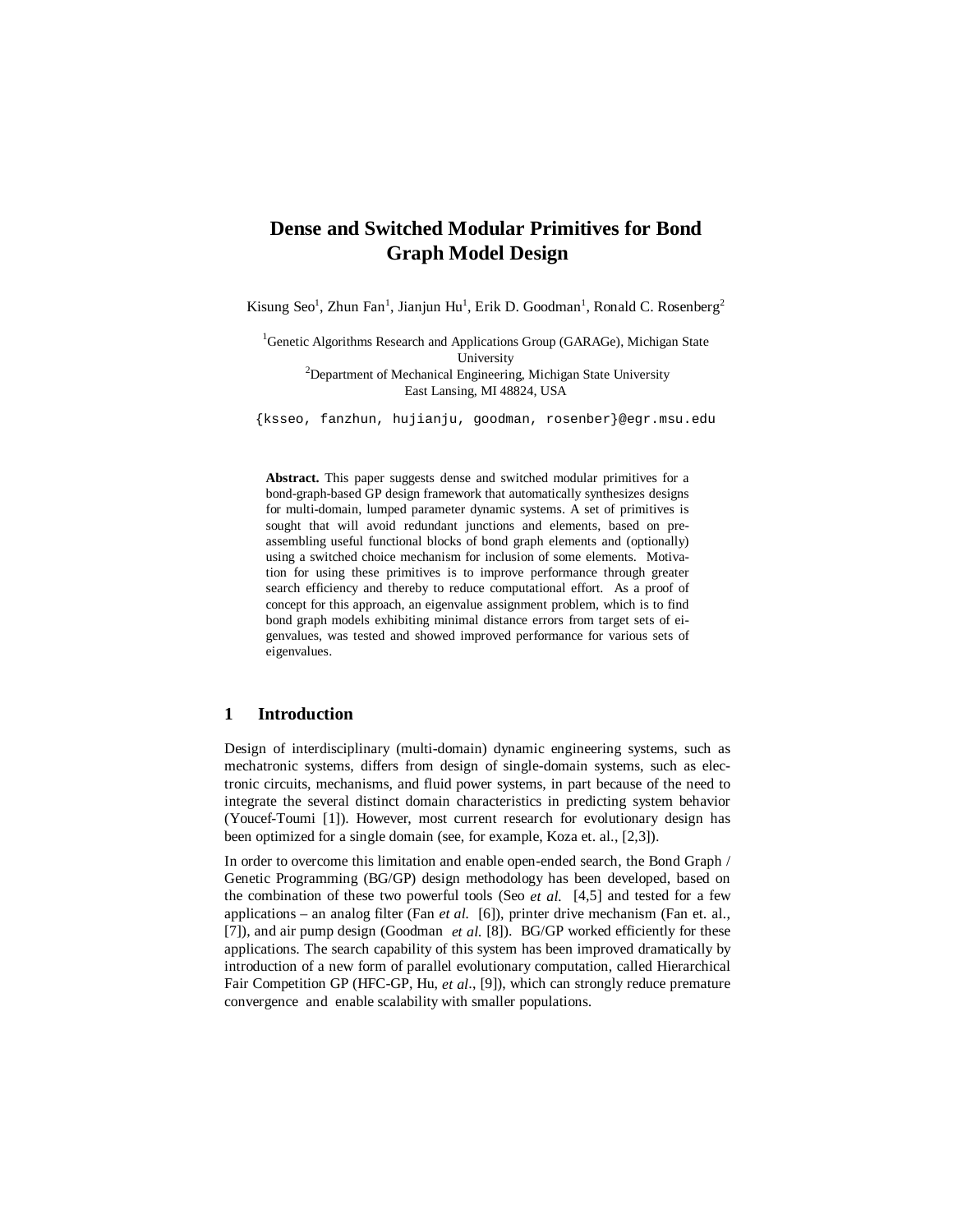# **Dense and Switched Modular Primitives for Bond Graph Model Design**

Kisung Seo<sup>1</sup>, Zhun Fan<sup>1</sup>, Jianjun Hu<sup>1</sup>, Erik D. Goodman<sup>1</sup>, Ronald C. Rosenberg<sup>2</sup>

<sup>1</sup>Genetic Algorithms Research and Applications Group (GARAGe), Michigan State University <sup>2</sup>Department of Mechanical Engineering, Michigan State University

East Lansing, MI 48824, USA

{ksseo, fanzhun, hujianju, goodman, rosenber}@egr.msu.edu

**Abstract.** This paper suggests dense and switched modular primitives for a bond-graph-based GP design framework that automatically synthesizes designs for multi-domain, lumped parameter dynamic systems. A set of primitives is sought that will avoid redundant junctions and elements, based on preassembling useful functional blocks of bond graph elements and (optionally) using a switched choice mechanism for inclusion of some elements. Motivation for using these primitives is to improve performance through greater search efficiency and thereby to reduce computational effort. As a proof of concept for this approach, an eigenvalue assignment problem, which is to find bond graph models exhibiting minimal distance errors from target sets of eigenvalues, was tested and showed improved performance for various sets of eigenvalues.

#### **1 Introduction**

Design of interdisciplinary (multi-domain) dynamic engineering systems, such as mechatronic systems, differs from design of single-domain systems, such as electronic circuits, mechanisms, and fluid power systems, in part because of the need to integrate the several distinct domain characteristics in predicting system behavior (Youcef-Toumi [1]). However, most current research for evolutionary design has been optimized for a single domain (see, for example, Koza et. al., [2,3]).

In order to overcome this limitation and enable open-ended search, the Bond Graph / Genetic Programming (BG/GP) design methodology has been developed, based on the combination of these two powerful tools (Seo *et al.* [4,5] and tested for a few applications – an analog filter (Fan *et al.* [6]), printer drive mechanism (Fan et. al., [7]), and air pump design (Goodman *et al.* [8]). BG/GP worked efficiently for these applications. The search capability of this system has been improved dramatically by introduction of a new form of parallel evolutionary computation, called Hierarchical Fair Competition GP (HFC-GP, Hu, *et al*., [9]), which can strongly reduce premature convergence and enable scalability with smaller populations.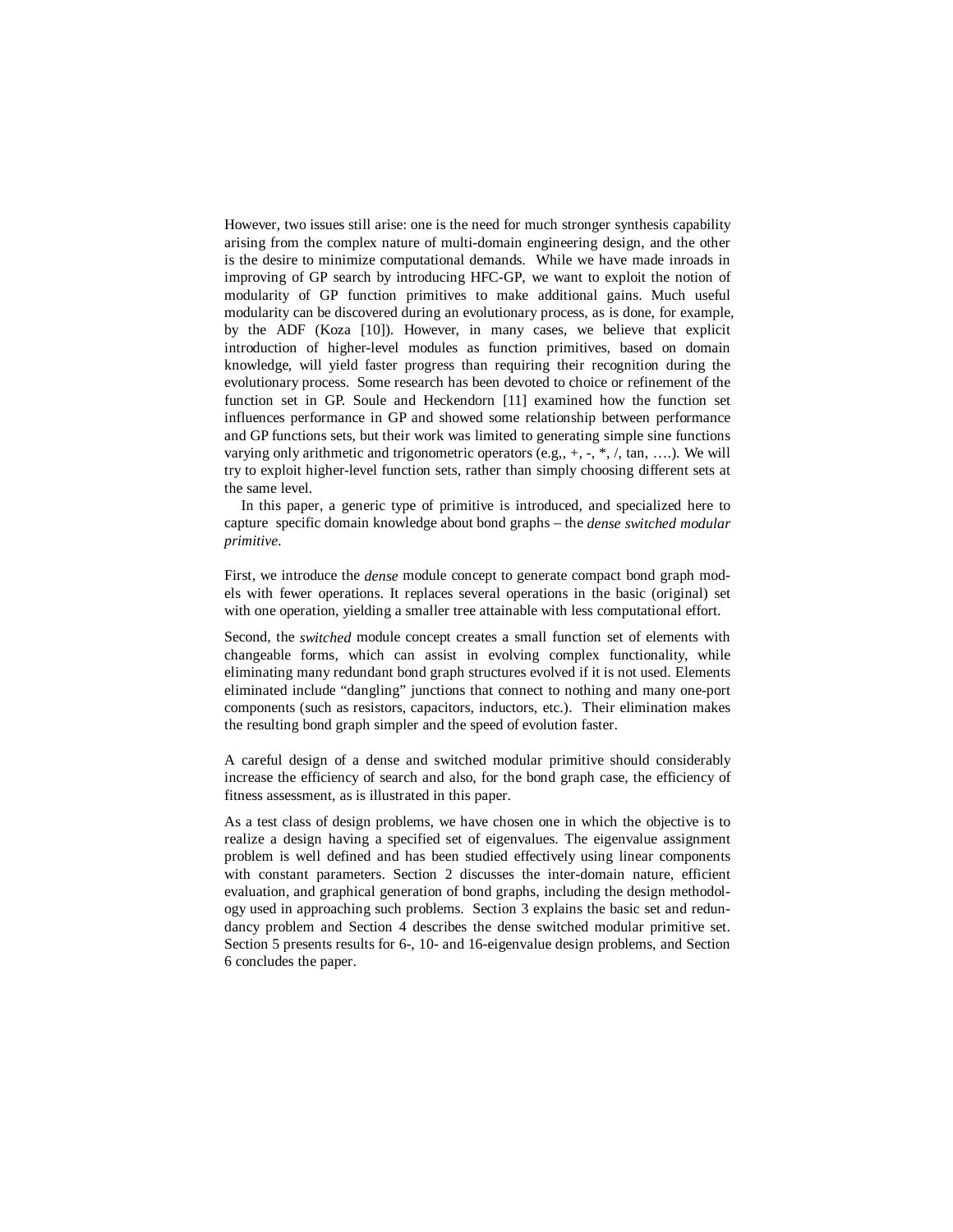However, two issues still arise: one is the need for much stronger synthesis capability arising from the complex nature of multi-domain engineering design, and the other is the desire to minimize computational demands. While we have made inroads in improving of GP search by introducing HFC-GP, we want to exploit the notion of modularity of GP function primitives to make additional gains. Much useful modularity can be discovered during an evolutionary process, as is done, for example, by the ADF (Koza [10]). However, in many cases, we believe that explicit introduction of higher-level modules as function primitives, based on domain knowledge, will yield faster progress than requiring their recognition during the evolutionary process. Some research has been devoted to choice or refinement of the function set in GP. Soule and Heckendorn [11] examined how the function set influences performance in GP and showed some relationship between performance and GP functions sets, but their work was limited to generating simple sine functions varying only arithmetic and trigonometric operators  $(e.g., +, -, *, /, tan, ...).$  We will try to exploit higher-level function sets, rather than simply choosing different sets at the same level.

In this paper, a generic type of primitive is introduced, and specialized here to capture specific domain knowledge about bond graphs – the *dense switched modular primitive.*

First, we introduce the *dense* module concept to generate compact bond graph models with fewer operations. It replaces several operations in the basic (original) set with one operation, yielding a smaller tree attainable with less computational effort.

Second, the *switched* module concept creates a small function set of elements with changeable forms, which can assist in evolving complex functionality, while eliminating many redundant bond graph structures evolved if it is not used. Elements eliminated include "dangling" junctions that connect to nothing and many one-port components (such as resistors, capacitors, inductors, etc.). Their elimination makes the resulting bond graph simpler and the speed of evolution faster.

A careful design of a dense and switched modular primitive should considerably increase the efficiency of search and also, for the bond graph case, the efficiency of fitness assessment, as is illustrated in this paper.

As a test class of design problems, we have chosen one in which the objective is to realize a design having a specified set of eigenvalues. The eigenvalue assignment problem is well defined and has been studied effectively using linear components with constant parameters. Section 2 discusses the inter-domain nature, efficient evaluation, and graphical generation of bond graphs, including the design methodology used in approaching such problems. Section 3 explains the basic set and redundancy problem and Section 4 describes the dense switched modular primitive set. Section 5 presents results for 6-, 10- and 16-eigenvalue design problems, and Section 6 concludes the paper.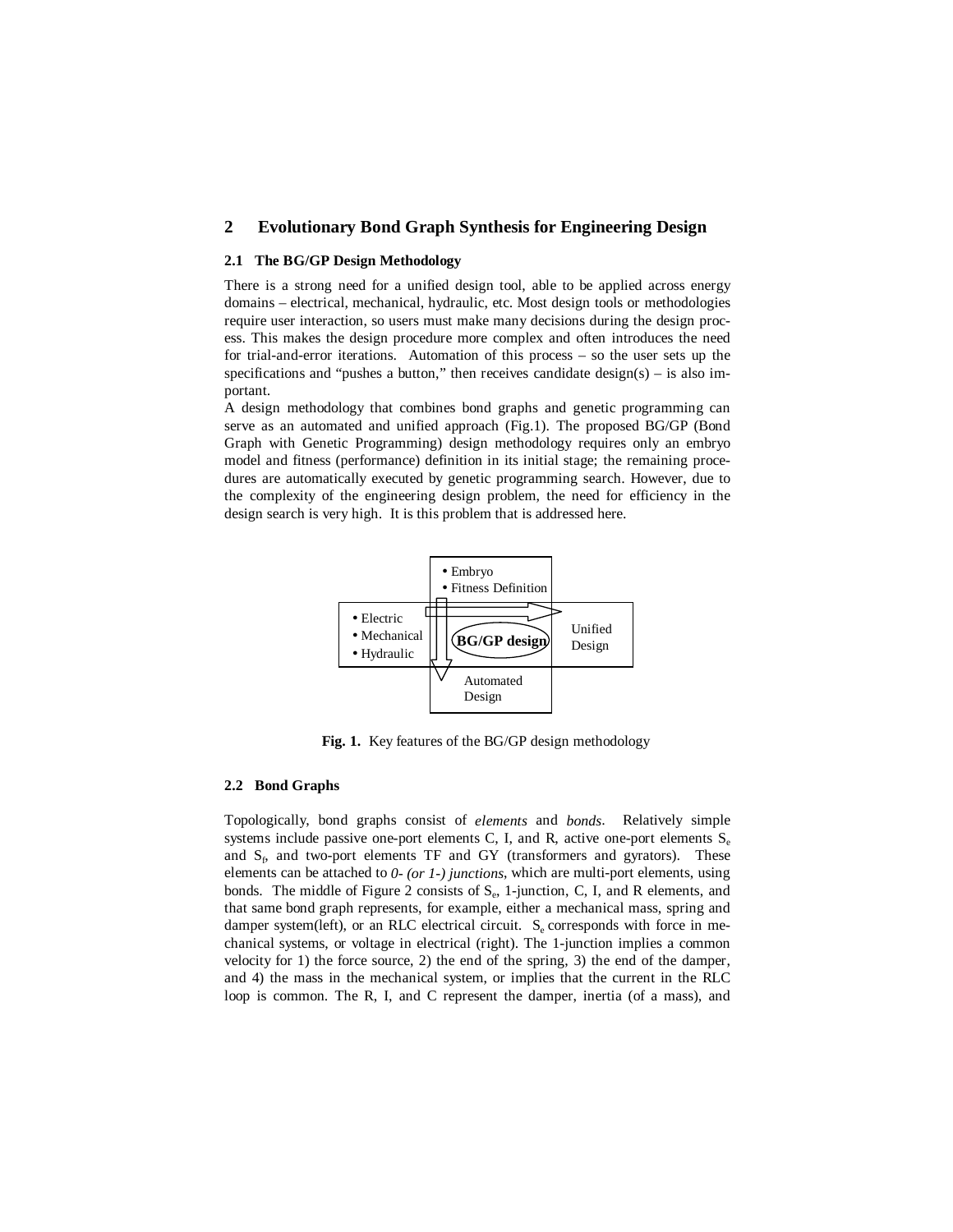## **2 Evolutionary Bond Graph Synthesis for Engineering Design**

#### **2.1 The BG/GP Design Methodology**

There is a strong need for a unified design tool, able to be applied across energy domains – electrical, mechanical, hydraulic, etc. Most design tools or methodologies require user interaction, so users must make many decisions during the design process. This makes the design procedure more complex and often introduces the need for trial-and-error iterations. Automation of this process – so the user sets up the specifications and "pushes a button," then receives candidate design(s) – is also important.

A design methodology that combines bond graphs and genetic programming can serve as an automated and unified approach (Fig.1). The proposed BG/GP (Bond Graph with Genetic Programming) design methodology requires only an embryo model and fitness (performance) definition in its initial stage; the remaining procedures are automatically executed by genetic programming search. However, due to the complexity of the engineering design problem, the need for efficiency in the design search is very high. It is this problem that is addressed here.



**Fig. 1.** Key features of the BG/GP design methodology

#### **2.2 Bond Graphs**

Topologically, bond graphs consist of *elements* and *bonds*. Relatively simple systems include passive one-port elements C, I, and R, active one-port elements  $S_e$ and  $S_f$ , and two-port elements TF and GY (transformers and gyrators). These elements can be attached to *0- (or 1-) junctions*, which are multi-port elements, using bonds. The middle of Figure 2 consists of  $S_e$ , 1-junction, C, I, and R elements, and that same bond graph represents, for example, either a mechanical mass, spring and damper system(left), or an RLC electrical circuit.  $S_e$  corresponds with force in mechanical systems, or voltage in electrical (right). The 1-junction implies a common velocity for 1) the force source, 2) the end of the spring, 3) the end of the damper, and 4) the mass in the mechanical system, or implies that the current in the RLC loop is common. The R, I, and C represent the damper, inertia (of a mass), and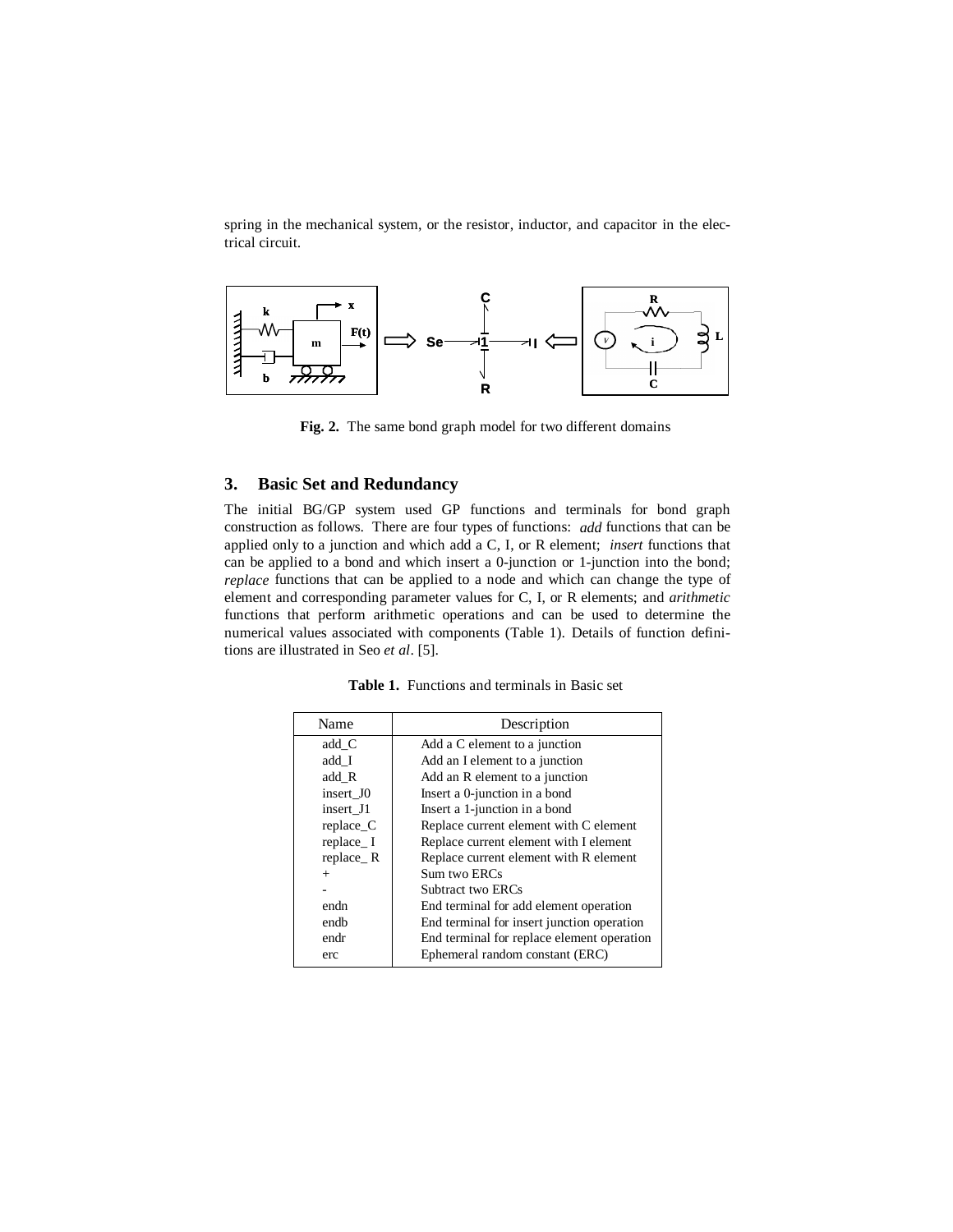spring in the mechanical system, or the resistor, inductor, and capacitor in the electrical circuit.



**Fig. 2.** The same bond graph model for two different domains

## **3. Basic Set and Redundancy**

The initial BG/GP system used GP functions and terminals for bond graph construction as follows. There are four types of functions: *add* functions that can be applied only to a junction and which add a C, I, or R element; *insert* functions that can be applied to a bond and which insert a 0-junction or 1-junction into the bond; *replace* functions that can be applied to a node and which can change the type of element and corresponding parameter values for C, I, or R elements; and *arithmetic* functions that perform arithmetic operations and can be used to determine the numerical values associated with components (Table 1). Details of function definitions are illustrated in Seo *et al*. [5].

|  | <b>Table 1.</b> Functions and terminals in Basic set |  |  |  |  |  |
|--|------------------------------------------------------|--|--|--|--|--|
|--|------------------------------------------------------|--|--|--|--|--|

| Name        | Description                                |
|-------------|--------------------------------------------|
| add C       | Add a C element to a junction              |
| add I       | Add an I element to a junction             |
| add R       | Add an R element to a junction             |
| insert J0   | Insert a 0-junction in a bond              |
| insert J1   | Insert a 1-junction in a bond              |
| $replace_C$ | Replace current element with C element     |
| replace_I   | Replace current element with I element     |
| $replace_R$ | Replace current element with R element     |
| $^{+}$      | Sum two ERCs                               |
|             | Subtract two ERCs                          |
| endn        | End terminal for add element operation     |
| endb        | End terminal for insert junction operation |
| endr        | End terminal for replace element operation |
| erc         | Ephemeral random constant (ERC)            |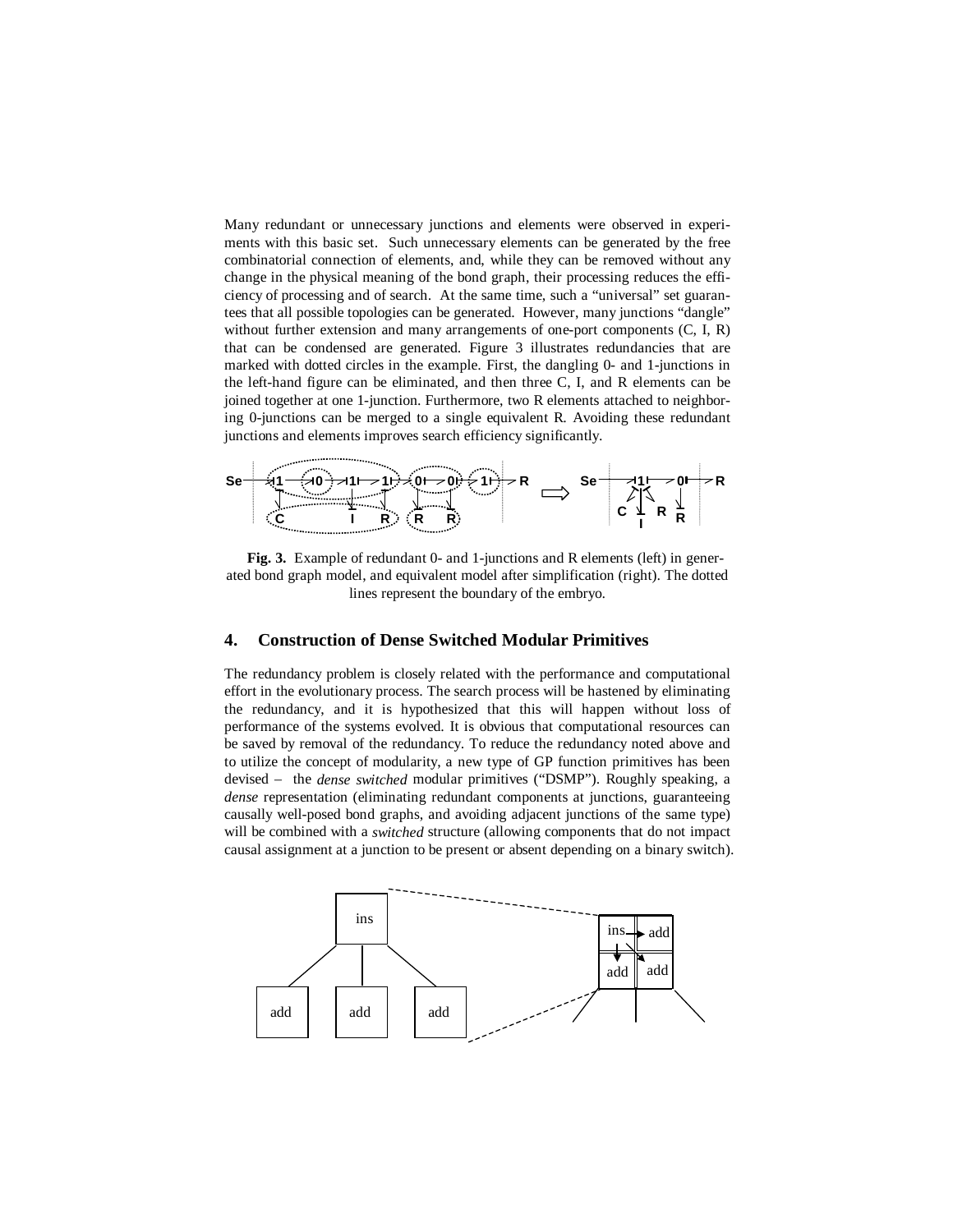Many redundant or unnecessary junctions and elements were observed in experiments with this basic set. Such unnecessary elements can be generated by the free combinatorial connection of elements, and, while they can be removed without any change in the physical meaning of the bond graph, their processing reduces the efficiency of processing and of search. At the same time, such a "universal" set guarantees that all possible topologies can be generated. However, many junctions "dangle" without further extension and many arrangements of one-port components (C, I, R) that can be condensed are generated. Figure 3 illustrates redundancies that are marked with dotted circles in the example. First, the dangling 0- and 1-junctions in the left-hand figure can be eliminated, and then three C, I, and R elements can be joined together at one 1-junction. Furthermore, two R elements attached to neighboring 0-junctions can be merged to a single equivalent R. Avoiding these redundant junctions and elements improves search efficiency significantly.



Fig. 3. Example of redundant 0- and 1-junctions and R elements (left) in generated bond graph model, and equivalent model after simplification (right). The dotted lines represent the boundary of the embryo.

## **4. Construction of Dense Switched Modular Primitives**

The redundancy problem is closely related with the performance and computational effort in the evolutionary process. The search process will be hastened by eliminating the redundancy, and it is hypothesized that this will happen without loss of performance of the systems evolved. It is obvious that computational resources can be saved by removal of the redundancy. To reduce the redundancy noted above and to utilize the concept of modularity, a new type of GP function primitives has been devised – the *dense switched* modular primitives ("DSMP"). Roughly speaking, a *dense* representation (eliminating redundant components at junctions, guaranteeing causally well-posed bond graphs, and avoiding adjacent junctions of the same type) will be combined with a *switched* structure (allowing components that do not impact causal assignment at a junction to be present or absent depending on a binary switch).

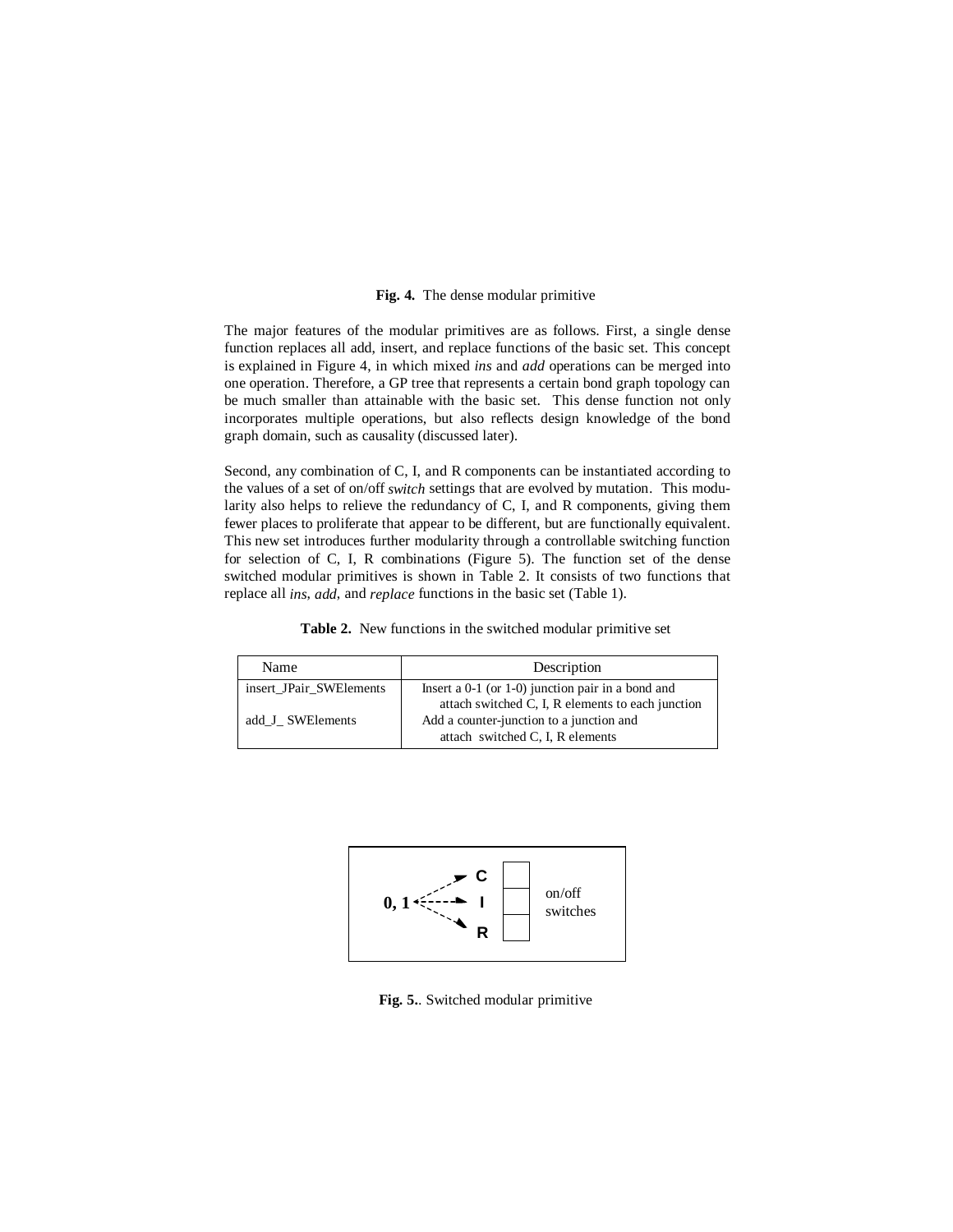#### **Fig. 4.** The dense modular primitive

The major features of the modular primitives are as follows. First, a single dense function replaces all add, insert, and replace functions of the basic set. This concept is explained in Figure 4, in which mixed *ins* and *add* operations can be merged into one operation. Therefore, a GP tree that represents a certain bond graph topology can be much smaller than attainable with the basic set. This dense function not only incorporates multiple operations, but also reflects design knowledge of the bond graph domain, such as causality (discussed later).

Second, any combination of C, I, and R components can be instantiated according to the values of a set of on/off *switch* settings that are evolved by mutation. This modularity also helps to relieve the redundancy of C, I, and R components, giving them fewer places to proliferate that appear to be different, but are functionally equivalent. This new set introduces further modularity through a controllable switching function for selection of C, I, R combinations (Figure 5). The function set of the dense switched modular primitives is shown in Table 2. It consists of two functions that replace all *ins*, *add*, and *replace* functions in the basic set (Table 1).

|  |  |  | Table 2. New functions in the switched modular primitive set |
|--|--|--|--------------------------------------------------------------|
|--|--|--|--------------------------------------------------------------|

| Name                    | Description                                            |  |  |  |
|-------------------------|--------------------------------------------------------|--|--|--|
| insert JPair SWElements | Insert a $0-1$ (or $1-0$ ) junction pair in a bond and |  |  |  |
|                         | attach switched C, I, R elements to each junction      |  |  |  |
| add J SWElements        | Add a counter-junction to a junction and               |  |  |  |
|                         | attach switched C, I, R elements                       |  |  |  |



**Fig. 5.**. Switched modular primitive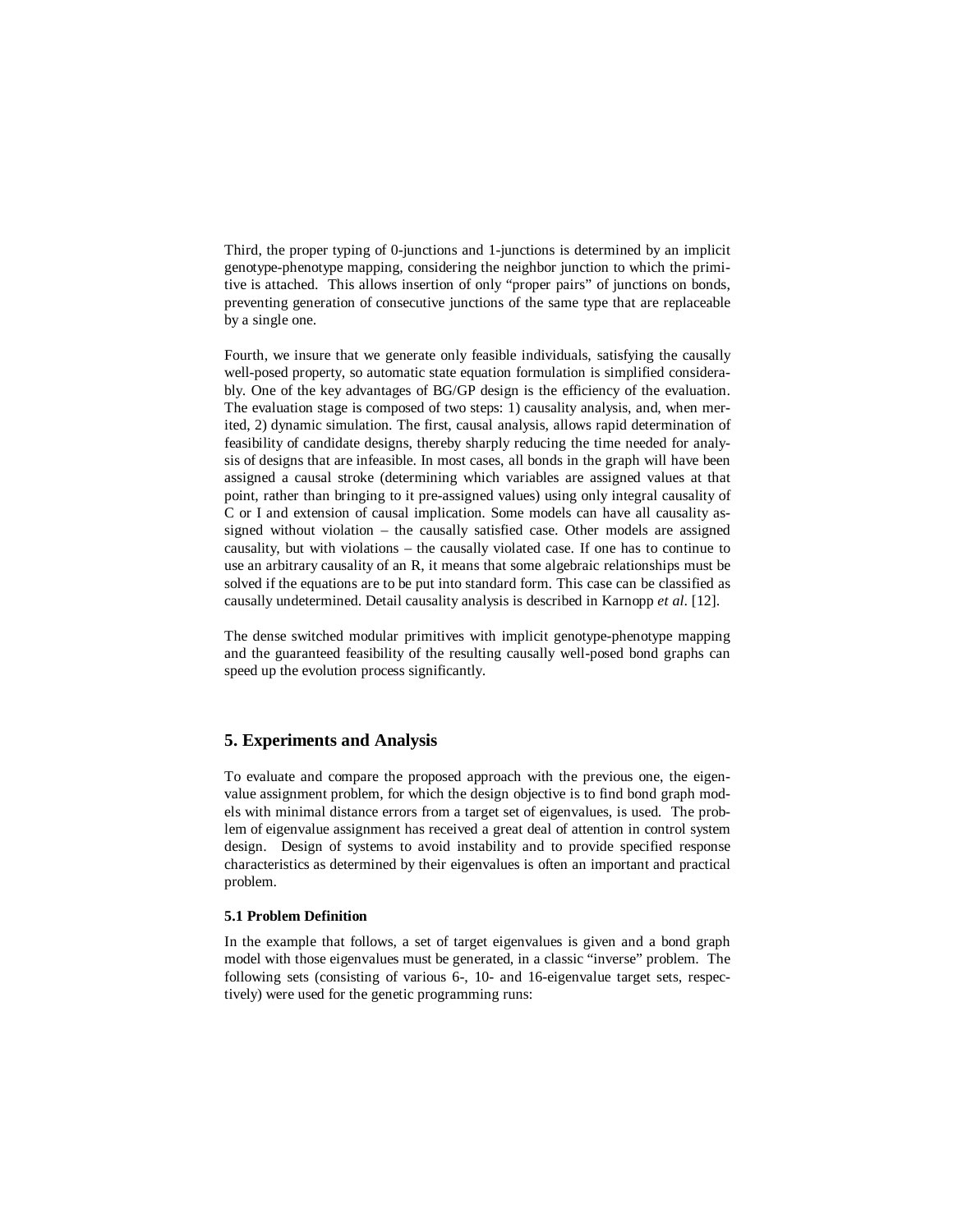Third, the proper typing of 0-junctions and 1-junctions is determined by an implicit genotype-phenotype mapping, considering the neighbor junction to which the primitive is attached. This allows insertion of only "proper pairs" of junctions on bonds, preventing generation of consecutive junctions of the same type that are replaceable by a single one.

Fourth, we insure that we generate only feasible individuals, satisfying the causally well-posed property, so automatic state equation formulation is simplified considerably. One of the key advantages of BG/GP design is the efficiency of the evaluation. The evaluation stage is composed of two steps: 1) causality analysis, and, when merited, 2) dynamic simulation. The first, causal analysis, allows rapid determination of feasibility of candidate designs, thereby sharply reducing the time needed for analysis of designs that are infeasible. In most cases, all bonds in the graph will have been assigned a causal stroke (determining which variables are assigned values at that point, rather than bringing to it pre-assigned values) using only integral causality of C or I and extension of causal implication. Some models can have all causality assigned without violation – the causally satisfied case. Other models are assigned causality, but with violations – the causally violated case. If one has to continue to use an arbitrary causality of an R, it means that some algebraic relationships must be solved if the equations are to be put into standard form. This case can be classified as causally undetermined. Detail causality analysis is described in Karnopp *et al*. [12].

The dense switched modular primitives with implicit genotype-phenotype mapping and the guaranteed feasibility of the resulting causally well-posed bond graphs can speed up the evolution process significantly.

### **5. Experiments and Analysis**

To evaluate and compare the proposed approach with the previous one, the eigenvalue assignment problem, for which the design objective is to find bond graph models with minimal distance errors from a target set of eigenvalues, is used. The problem of eigenvalue assignment has received a great deal of attention in control system design. Design of systems to avoid instability and to provide specified response characteristics as determined by their eigenvalues is often an important and practical problem.

#### **5.1 Problem Definition**

In the example that follows, a set of target eigenvalues is given and a bond graph model with those eigenvalues must be generated, in a classic "inverse" problem. The following sets (consisting of various 6-, 10- and 16-eigenvalue target sets, respectively) were used for the genetic programming runs: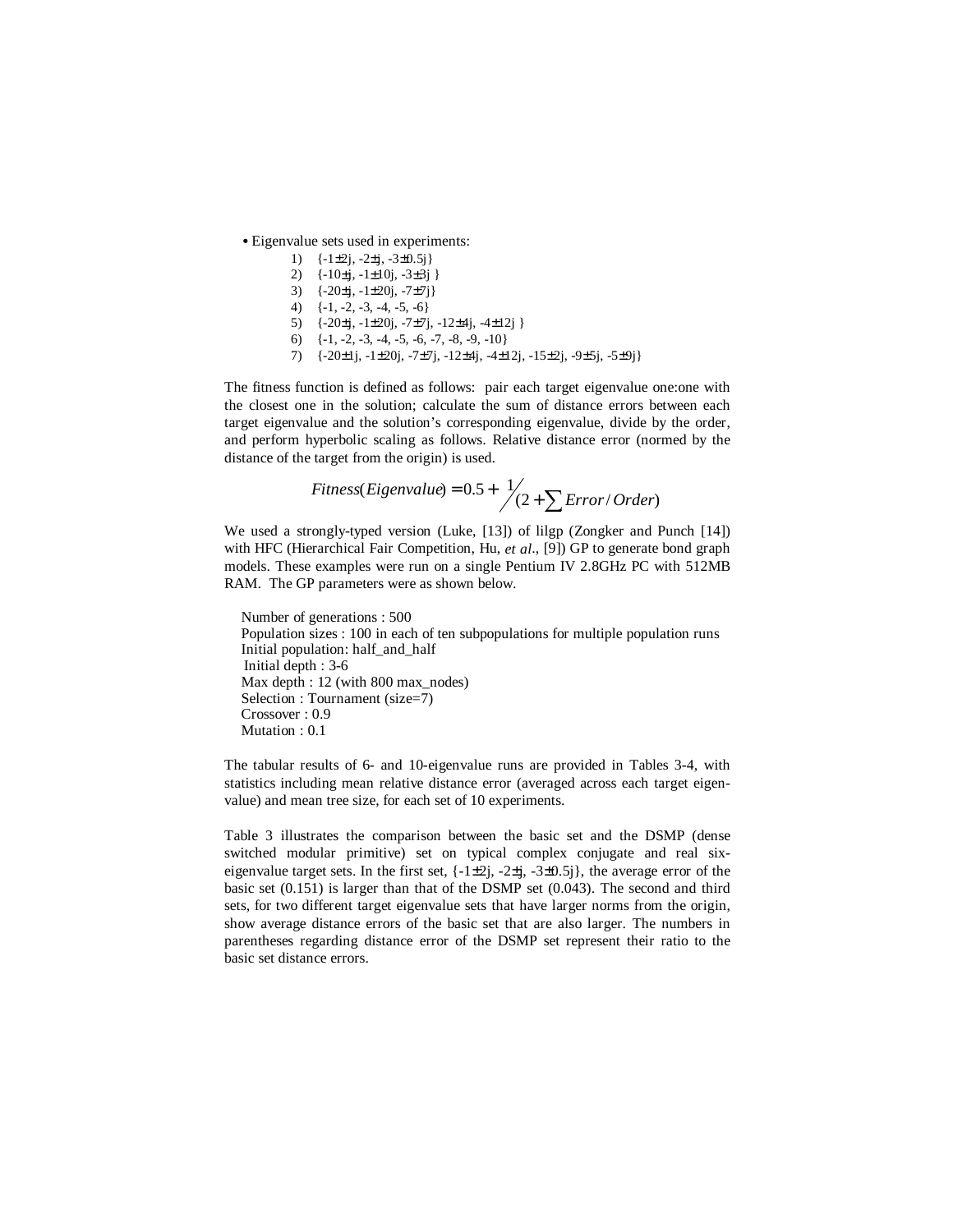- Eigenvalue sets used in experiments:
	- 1)  $\{-1\pm 2j, -2\pm j, -3\pm 0.5j\}$
	- 2)  $\{-10\pm j, -1\pm 10j, -3\pm 3j\}$
	- 3) {-20±j, -1±20j, -7±7j}
	- 4)  $\{-1, -2, -3, -4, -5, -6\}$
	- 5) {-20±j, -1±20j, -7±7j, -12±4j, -4±12j }
	- 6)  $\{-1, -2, -3, -4, -5, -6, -7, -8, -9, -10\}$
	- 7) {-20±1j, -1±20j, -7±7j, -12±4j, -4±12j, -15±2j, -9±5j, -5±9j}

The fitness function is defined as follows: pair each target eigenvalue one:one with the closest one in the solution; calculate the sum of distance errors between each target eigenvalue and the solution's corresponding eigenvalue, divide by the order, and perform hyperbolic scaling as follows. Relative distance error (normed by the distance of the target from the origin) is used.

$$
Fitness(Eigenvalue) = 0.5 + \frac{1}{2} \sum Error/Order)
$$

We used a strongly-typed version (Luke, [13]) of lilgp (Zongker and Punch [14]) with HFC (Hierarchical Fair Competition, Hu, *et al*., [9]) GP to generate bond graph models. These examples were run on a single Pentium IV 2.8GHz PC with 512MB RAM. The GP parameters were as shown below.

Number of generations : 500 Population sizes : 100 in each of ten subpopulations for multiple population runs Initial population: half\_and\_half Initial depth : 3-6 Max depth : 12 (with 800 max\_nodes) Selection : Tournament (size=7) Crossover : 0.9 Mutation : 0.1

The tabular results of 6- and 10-eigenvalue runs are provided in Tables 3-4, with statistics including mean relative distance error (averaged across each target eigenvalue) and mean tree size, for each set of 10 experiments.

Table 3 illustrates the comparison between the basic set and the DSMP (dense switched modular primitive) set on typical complex conjugate and real sixeigenvalue target sets. In the first set,  $\{-1\pm 2j, -2\pm j, -3\pm 0.5j\}$ , the average error of the basic set (0.151) is larger than that of the DSMP set (0.043). The second and third sets, for two different target eigenvalue sets that have larger norms from the origin, show average distance errors of the basic set that are also larger. The numbers in parentheses regarding distance error of the DSMP set represent their ratio to the basic set distance errors.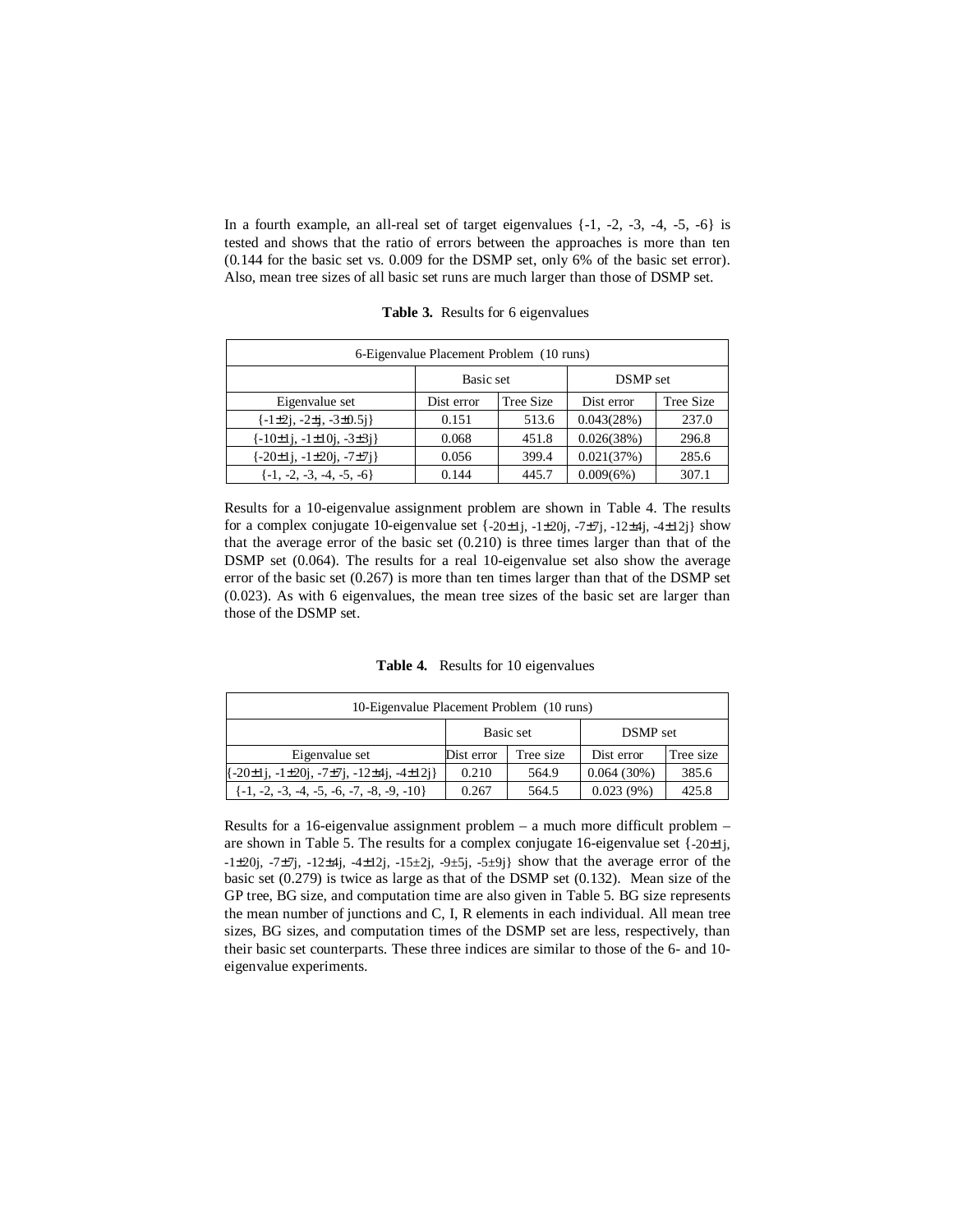In a fourth example, an all-real set of target eigenvalues  $\{-1, -2, -3, -4, -5, -6\}$  is tested and shows that the ratio of errors between the approaches is more than ten (0.144 for the basic set vs. 0.009 for the DSMP set, only 6% of the basic set error). Also, mean tree sizes of all basic set runs are much larger than those of DSMP set.

| 6-Eigenvalue Placement Problem (10 runs)   |            |           |                 |           |  |  |  |
|--------------------------------------------|------------|-----------|-----------------|-----------|--|--|--|
|                                            | Basic set  |           | <b>DSMP</b> set |           |  |  |  |
| Eigenvalue set                             | Dist error | Tree Size | Dist error      | Tree Size |  |  |  |
| $\{-1\pm 2i, -2\pm i, -3\pm 0.5i\}$        | 0.151      | 513.6     | 0.043(28%)      | 237.0     |  |  |  |
| $\{-10\pm 1\}$ , $-1\pm 10$ j, $-3\pm 3\}$ | 0.068      | 451.8     | 0.026(38%)      | 296.8     |  |  |  |
| $\{-20\pm 1j, -1\pm 20j, -7\pm 7j\}$       | 0.056      | 399.4     | 0.021(37%)      | 285.6     |  |  |  |
| $\{-1, -2, -3, -4, -5, -6\}$               | 0.144      | 445.7     | 0.009(6%)       | 307.1     |  |  |  |

**Table 3.** Results for 6 eigenvalues

Results for a 10-eigenvalue assignment problem are shown in Table 4. The results for a complex conjugate 10-eigenvalue set  $\{-20\pm 1\}$ ,  $-1\pm 20$ j,  $-7\pm 7$ j,  $-12\pm 4$ j,  $-4\pm 12$ j} show that the average error of the basic set (0.210) is three times larger than that of the DSMP set (0.064). The results for a real 10-eigenvalue set also show the average error of the basic set (0.267) is more than ten times larger than that of the DSMP set (0.023). As with 6 eigenvalues, the mean tree sizes of the basic set are larger than those of the DSMP set.

**Table 4.** Results for 10 eigenvalues

| 10-Eigenvalue Placement Problem (10 runs)                               |                       |           |            |           |  |  |
|-------------------------------------------------------------------------|-----------------------|-----------|------------|-----------|--|--|
|                                                                         | DSMP set<br>Basic set |           |            |           |  |  |
| Eigenvalue set                                                          | Dist error            | Tree size | Dist error | Tree size |  |  |
| $\{-20\pm 1\}$ , $-1\pm 20$ j, $-7\pm 7$ j, $-12\pm 4$ j, $-4\pm 12$ j} | 0.210                 | 564.9     | 0.064(30%) | 385.6     |  |  |
| $\{-1, -2, -3, -4, -5, -6, -7, -8, -9, -10\}$                           | 0.267                 | 564.5     | 0.023(9%)  | 425.8     |  |  |

Results for a 16-eigenvalue assignment problem – a much more difficult problem – are shown in Table 5. The results for a complex conjugate 16-eigenvalue set  $\{-20\pm 1\}$ , -1 $\pm$ 20j, -7 $\pm$ 7j, -12 $\pm$ 4j, -4 $\pm$ 12j, -15 $\pm$ 2j, -9 $\pm$ 5j, -5 $\pm$ 9j} show that the average error of the basic set (0.279) is twice as large as that of the DSMP set (0.132). Mean size of the GP tree, BG size, and computation time are also given in Table 5. BG size represents the mean number of junctions and C, I, R elements in each individual. All mean tree sizes, BG sizes, and computation times of the DSMP set are less, respectively, than their basic set counterparts. These three indices are similar to those of the 6- and 10 eigenvalue experiments.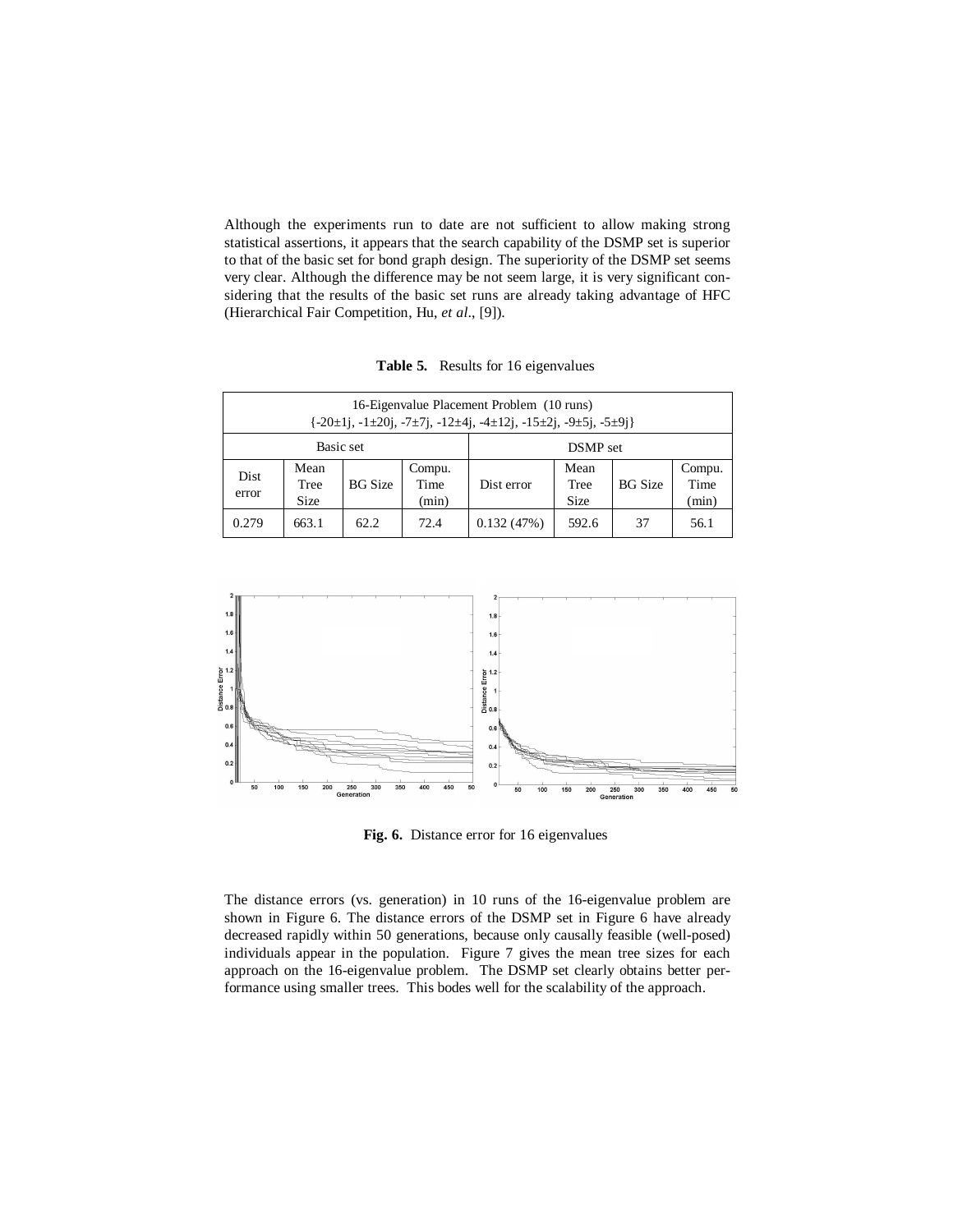Although the experiments run to date are not sufficient to allow making strong statistical assertions, it appears that the search capability of the DSMP set is superior to that of the basic set for bond graph design. The superiority of the DSMP set seems very clear. Although the difference may be not seem large, it is very significant considering that the results of the basic set runs are already taking advantage of HFC (Hierarchical Fair Competition, Hu, *et al*., [9]).

**Table 5.** Results for 16 eigenvalues

| 16-Eigenvalue Placement Problem (10 runs)<br>$[-20\pm 1j, -1\pm 20j, -7\pm 7j, -12\pm 4j, -4\pm 12j, -15\pm 2j, -9\pm 5j, -5\pm 9j]$ |                             |                |                         |            |                             |                |                         |
|--------------------------------------------------------------------------------------------------------------------------------------|-----------------------------|----------------|-------------------------|------------|-----------------------------|----------------|-------------------------|
| Basic set                                                                                                                            |                             |                | <b>DSMP</b> set         |            |                             |                |                         |
| Dist<br>error                                                                                                                        | Mean<br>Tree<br><b>Size</b> | <b>BG</b> Size | Compu.<br>Time<br>(min) | Dist error | Mean<br>Tree<br><b>Size</b> | <b>BG</b> Size | Compu.<br>Time<br>(min) |
| 0.279                                                                                                                                | 663.1                       | 62.2           | 72.4                    | 0.132(47%) | 592.6                       | 37             | 56.1                    |



**Fig. 6.** Distance error for 16 eigenvalues

The distance errors (vs. generation) in 10 runs of the 16-eigenvalue problem are shown in Figure 6. The distance errors of the DSMP set in Figure 6 have already decreased rapidly within 50 generations, because only causally feasible (well-posed) individuals appear in the population. Figure 7 gives the mean tree sizes for each approach on the 16-eigenvalue problem. The DSMP set clearly obtains better performance using smaller trees. This bodes well for the scalability of the approach.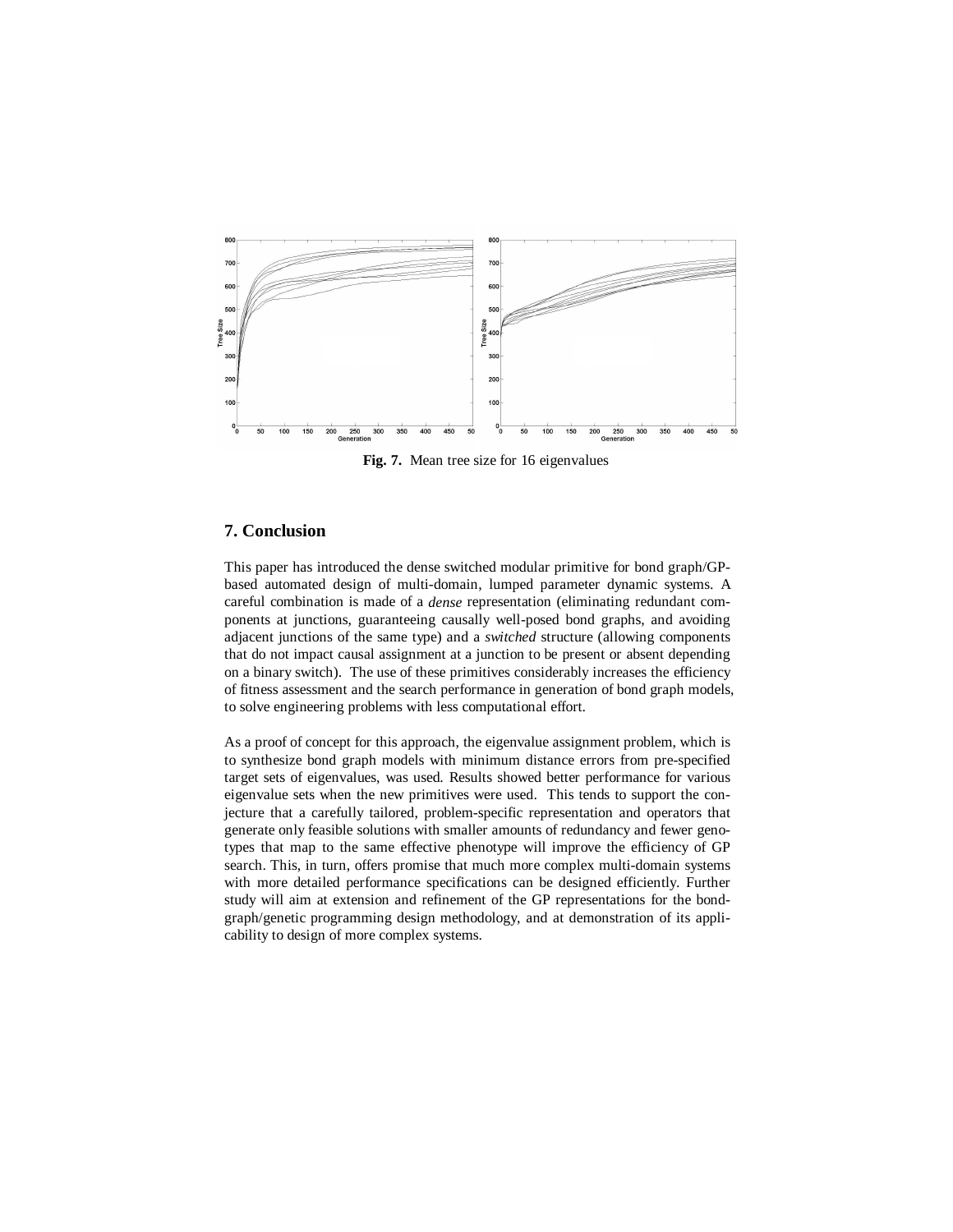

**Fig. 7.** Mean tree size for 16 eigenvalues

## **7. Conclusion**

This paper has introduced the dense switched modular primitive for bond graph/GPbased automated design of multi-domain, lumped parameter dynamic systems. A careful combination is made of a *dense* representation (eliminating redundant components at junctions, guaranteeing causally well-posed bond graphs, and avoiding adjacent junctions of the same type) and a *switched* structure (allowing components that do not impact causal assignment at a junction to be present or absent depending on a binary switch). The use of these primitives considerably increases the efficiency of fitness assessment and the search performance in generation of bond graph models, to solve engineering problems with less computational effort.

As a proof of concept for this approach, the eigenvalue assignment problem, which is to synthesize bond graph models with minimum distance errors from pre-specified target sets of eigenvalues, was used. Results showed better performance for various eigenvalue sets when the new primitives were used. This tends to support the conjecture that a carefully tailored, problem-specific representation and operators that generate only feasible solutions with smaller amounts of redundancy and fewer genotypes that map to the same effective phenotype will improve the efficiency of GP search. This, in turn, offers promise that much more complex multi-domain systems with more detailed performance specifications can be designed efficiently. Further study will aim at extension and refinement of the GP representations for the bondgraph/genetic programming design methodology, and at demonstration of its applicability to design of more complex systems.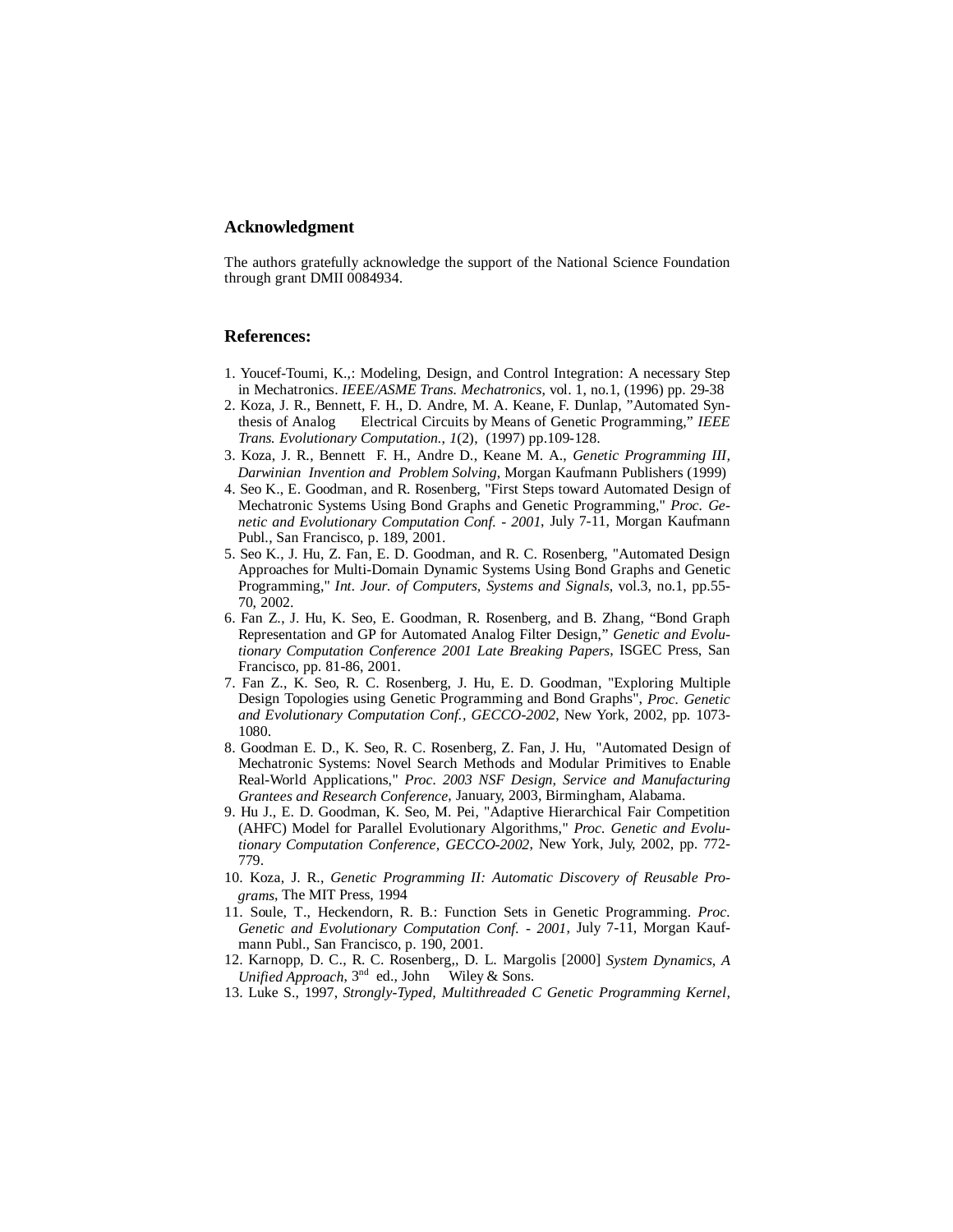#### **Acknowledgment**

The authors gratefully acknowledge the support of the National Science Foundation through grant DMII 0084934.

#### **References:**

- 1. Youcef-Toumi, K.,: Modeling, Design, and Control Integration: A necessary Step in Mechatronics. *IEEE/ASME Trans. Mechatronics*, vol. 1, no.1, (1996) pp. 29-38
- 2. Koza, J. R., Bennett, F. H., D. Andre, M. A. Keane, F. Dunlap, "Automated Synthesis of Analog Electrical Circuits by Means of Genetic Programming," *IEEE Trans. Evolutionary Computation.*, *1*(2), (1997) pp.109-128.
- 3. Koza, J. R., Bennett F. H., Andre D., Keane M. A., *Genetic Programming III, Darwinian Invention and Problem Solving*, Morgan Kaufmann Publishers (1999)
- 4. Seo K., E. Goodman, and R. Rosenberg, "First Steps toward Automated Design of Mechatronic Systems Using Bond Graphs and Genetic Programming," *Proc. Genetic and Evolutionary Computation Conf. - 2001*, July 7-11, Morgan Kaufmann Publ., San Francisco, p. 189, 2001.
- 5. Seo K., J. Hu, Z. Fan, E. D. Goodman, and R. C. Rosenberg, "Automated Design Approaches for Multi-Domain Dynamic Systems Using Bond Graphs and Genetic Programming," *Int. Jour. of Computers, Systems and Signals*, vol.3, no.1, pp.55- 70, 2002.
- 6. Fan Z., J. Hu, K. Seo, E. Goodman, R. Rosenberg, and B. Zhang, "Bond Graph Representation and GP for Automated Analog Filter Design," *Genetic and Evolutionary Computation Conference 2001 Late Breaking Papers*, ISGEC Press, San Francisco, pp. 81-86, 2001.
- 7. Fan Z., K. Seo, R. C. Rosenberg, J. Hu, E. D. Goodman, "Exploring Multiple Design Topologies using Genetic Programming and Bond Graphs", *Proc. Genetic and Evolutionary Computation Conf., GECCO-2002*, New York, 2002, pp. 1073- 1080.
- 8. Goodman E. D., K. Seo, R. C. Rosenberg, Z. Fan, J. Hu, "Automated Design of Mechatronic Systems: Novel Search Methods and Modular Primitives to Enable Real-World Applications," *Proc. 2003 NSF Design, Service and Manufacturing Grantees and Research Conference*, January, 2003, Birmingham, Alabama.
- 9. Hu J., E. D. Goodman, K. Seo, M. Pei, "Adaptive Hierarchical Fair Competition (AHFC) Model for Parallel Evolutionary Algorithms," *Proc. Genetic and Evolutionary Computation Conference, GECCO-2002*, New York, July, 2002, pp. 772- 779.
- 10. Koza, J. R., *Genetic Programming II: Automatic Discovery of Reusable Programs*, The MIT Press, 1994
- 11. Soule, T., Heckendorn, R. B.: Function Sets in Genetic Programming. *Proc. Genetic and Evolutionary Computation Conf. - 2001*, July 7-11, Morgan Kaufmann Publ., San Francisco, p. 190, 2001.
- 12. Karnopp, D. C., R. C. Rosenberg,, D. L. Margolis [2000] *System Dynamics, A Unified Approach*, 3nd ed., John Wiley & Sons.
- 13. Luke S., 1997, *Strongly-Typed, Multithreaded C Genetic Programming Kernel,*